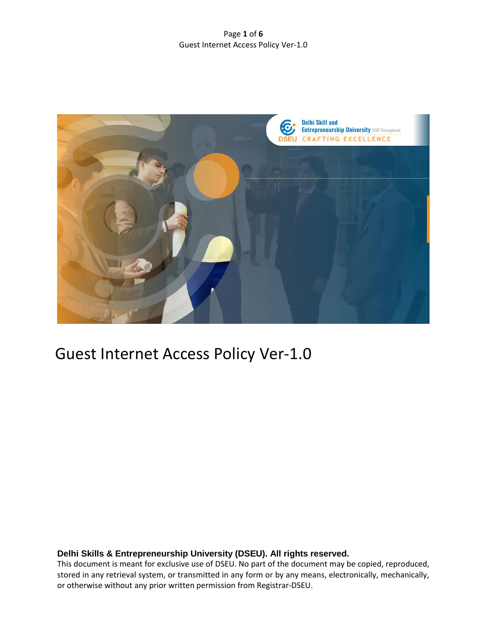#### Page **1** of **6** Guest Internet Access Policy Ver-1.0



# Guest Internet Access Policy Ver-1.0

# **Delhi Skills & Entrepreneurship University (DSEU). All rights reserved.**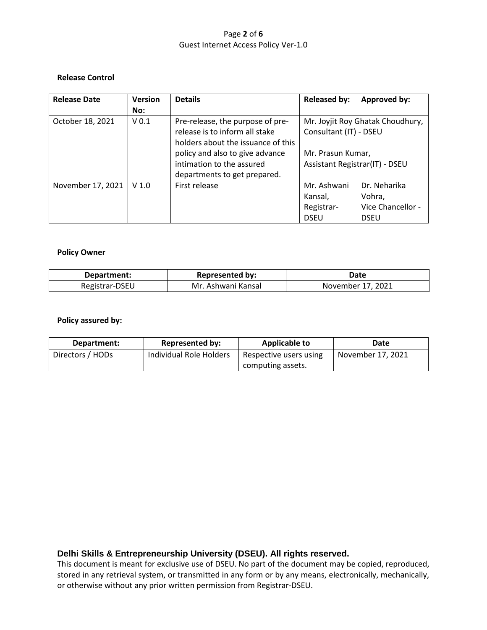## Page **2** of **6** Guest Internet Access Policy Ver-1.0

#### **Release Control**

| <b>Release Date</b> | <b>Version</b>   | <b>Details</b>                     | <b>Released by:</b>                                        | Approved by:      |
|---------------------|------------------|------------------------------------|------------------------------------------------------------|-------------------|
|                     | No:              |                                    |                                                            |                   |
| October 18, 2021    | V <sub>0.1</sub> | Pre-release, the purpose of pre-   | Mr. Joyjit Roy Ghatak Choudhury,<br>Consultant (IT) - DSEU |                   |
|                     |                  | release is to inform all stake     |                                                            |                   |
|                     |                  | holders about the issuance of this |                                                            |                   |
|                     |                  | policy and also to give advance    | Mr. Prasun Kumar,<br>Assistant Registrar(IT) - DSEU        |                   |
|                     |                  | intimation to the assured          |                                                            |                   |
|                     |                  | departments to get prepared.       |                                                            |                   |
| November 17, 2021   | V <sub>1.0</sub> | First release                      | Mr. Ashwani                                                | Dr. Neharika      |
|                     |                  |                                    | Kansal,                                                    | Vohra,            |
|                     |                  |                                    | Registrar-                                                 | Vice Chancellor - |
|                     |                  |                                    | <b>DSEU</b>                                                | <b>DSEU</b>       |

#### **Policy Owner**

| Department:    | <b>Represented by:</b> | Date              |
|----------------|------------------------|-------------------|
| Registrar-DSEU | Mr. Ashwani Kansal     | November 17, 2021 |

# **Policy assured by:**

| Department:      | <b>Represented by:</b>  | Applicable to          | Date              |
|------------------|-------------------------|------------------------|-------------------|
| Directors / HODs | Individual Role Holders | Respective users using | November 17, 2021 |
|                  |                         | computing assets.      |                   |

# **Delhi Skills & Entrepreneurship University (DSEU). All rights reserved.**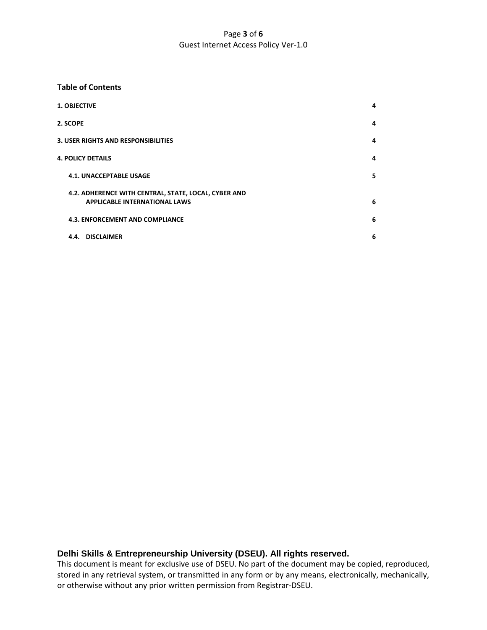## Page **3** of **6** Guest Internet Access Policy Ver-1.0

#### **Table of Contents**

| <b>1. OBJECTIVE</b>                                                                          | 4 |
|----------------------------------------------------------------------------------------------|---|
| 2. SCOPE                                                                                     | 4 |
| <b>3. USER RIGHTS AND RESPONSIBILITIES</b>                                                   | 4 |
| <b>4. POLICY DETAILS</b>                                                                     | 4 |
| <b>4.1. UNACCEPTABLE USAGE</b>                                                               | 5 |
| 4.2. ADHERENCE WITH CENTRAL, STATE, LOCAL, CYBER AND<br><b>APPLICABLE INTERNATIONAL LAWS</b> | 6 |
| <b>4.3. ENFORCEMENT AND COMPLIANCE</b>                                                       | 6 |
| 4.4. DISCLAIMER                                                                              | 6 |

# **Delhi Skills & Entrepreneurship University (DSEU). All rights reserved.**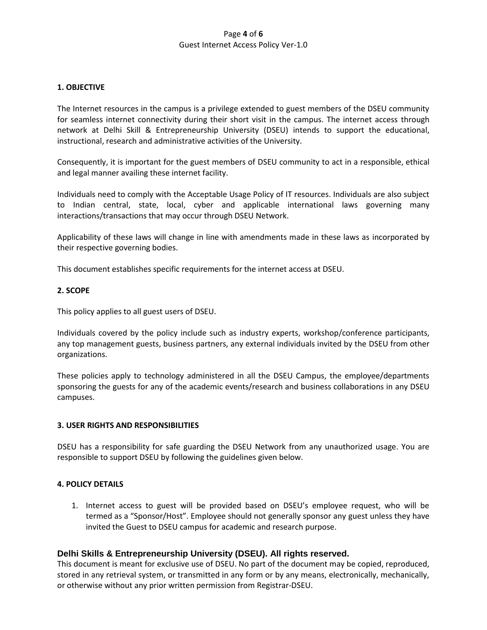#### Page **4** of **6** Guest Internet Access Policy Ver-1.0

#### **1. OBJECTIVE**

The Internet resources in the campus is a privilege extended to guest members of the DSEU community for seamless internet connectivity during their short visit in the campus. The internet access through network at Delhi Skill & Entrepreneurship University (DSEU) intends to support the educational, instructional, research and administrative activities of the University.

Consequently, it is important for the guest members of DSEU community to act in a responsible, ethical and legal manner availing these internet facility.

Individuals need to comply with the Acceptable Usage Policy of IT resources. Individuals are also subject to Indian central, state, local, cyber and applicable international laws governing many interactions/transactions that may occur through DSEU Network.

Applicability of these laws will change in line with amendments made in these laws as incorporated by their respective governing bodies.

This document establishes specific requirements for the internet access at DSEU.

#### **2. SCOPE**

This policy applies to all guest users of DSEU.

Individuals covered by the policy include such as industry experts, workshop/conference participants, any top management guests, business partners, any external individuals invited by the DSEU from other organizations.

These policies apply to technology administered in all the DSEU Campus, the employee/departments sponsoring the guests for any of the academic events/research and business collaborations in any DSEU campuses.

#### **3. USER RIGHTS AND RESPONSIBILITIES**

DSEU has a responsibility for safe guarding the DSEU Network from any unauthorized usage. You are responsible to support DSEU by following the guidelines given below.

#### **4. POLICY DETAILS**

1. Internet access to guest will be provided based on DSEU's employee request, who will be termed as a "Sponsor/Host". Employee should not generally sponsor any guest unless they have invited the Guest to DSEU campus for academic and research purpose.

#### **Delhi Skills & Entrepreneurship University (DSEU). All rights reserved.**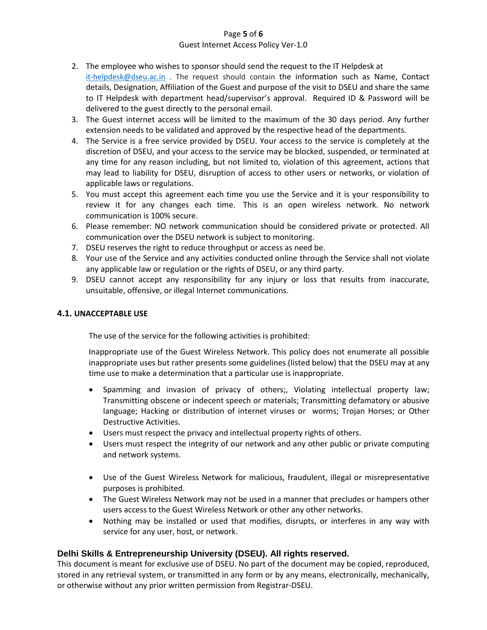#### Page **5** of **6**

#### Guest Internet Access Policy Ver-1.0

- 2. The employee who wishes to sponsor should send the request to the IT Helpdesk at [it-helpdesk@dseu.ac.in](mailto:it-helpdesk@dseu.ac.in) . The request should contain the information such as Name, Contact details, Designation, Affiliation of the Guest and purpose of the visit to DSEU and share the same to IT Helpdesk with department head/supervisor's approval. Required ID & Password will be delivered to the guest directly to the personal email.
- 3. The Guest internet access will be limited to the maximum of the 30 days period. Any further extension needs to be validated and approved by the respective head of the departments.
- 4. The Service is a free service provided by DSEU. Your access to the service is completely at the discretion of DSEU, and your access to the service may be blocked, suspended, or terminated at any time for any reason including, but not limited to, violation of this agreement, actions that may lead to liability for DSEU, disruption of access to other users or networks, or violation of applicable laws or regulations.
- 5. You must accept this agreement each time you use the Service and it is your responsibility to review it for any changes each time. This is an open wireless network. No network communication is 100% secure.
- 6. Please remember: NO network communication should be considered private or protected. All communication over the DSEU network is subject to monitoring.
- 7. DSEU reserves the right to reduce throughput or access as need be.
- 8. Your use of the Service and any activities conducted online through the Service shall not violate any applicable law or regulation or the rights of DSEU, or any third party.
- 9. DSEU cannot accept any responsibility for any injury or loss that results from inaccurate, unsuitable, offensive, or illegal Internet communications.

## **4.1. UNACCEPTABLE USE**

The use of the service for the following activities is prohibited:

Inappropriate use of the Guest Wireless Network. This policy does not enumerate all possible inappropriate uses but rather presents some guidelines (listed below) that the DSEU may at any time use to make a determination that a particular use is inappropriate.

- Spamming and invasion of privacy of others;, Violating intellectual property law; Transmitting obscene or indecent speech or materials; Transmitting defamatory or abusive language; Hacking or distribution of internet viruses or worms; Trojan Horses; or Other Destructive Activities.
- Users must respect the privacy and intellectual property rights of others.
- Users must respect the integrity of our network and any other public or private computing and network systems.
- Use of the Guest Wireless Network for malicious, fraudulent, illegal or misrepresentative purposes is prohibited.
- The Guest Wireless Network may not be used in a manner that precludes or hampers other users access to the Guest Wireless Network or other any other networks.
- Nothing may be installed or used that modifies, disrupts, or interferes in any way with service for any user, host, or network.

# **Delhi Skills & Entrepreneurship University (DSEU). All rights reserved.**